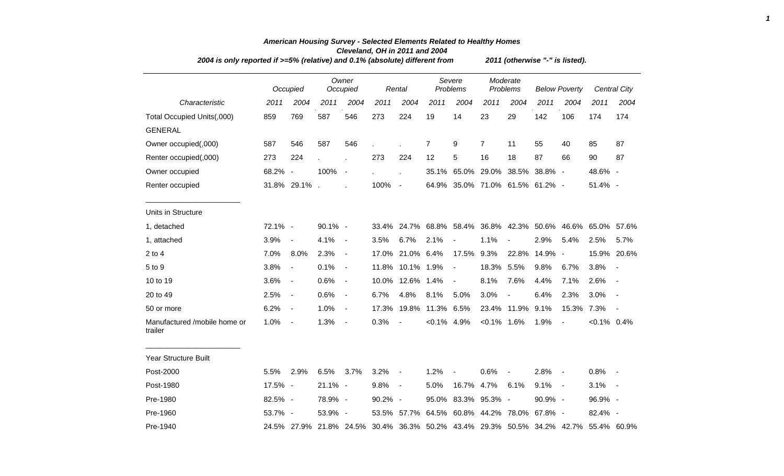|                                         | 2004 is only reported if >=5% (relative) and 0.1% (absolute) different from |                          |                         |                          |         |                          |                   |                                 |                |                      | 2011 (otherwise "-" is listed). |                          |                                                             |                          |  |  |  |  |  |
|-----------------------------------------|-----------------------------------------------------------------------------|--------------------------|-------------------------|--------------------------|---------|--------------------------|-------------------|---------------------------------|----------------|----------------------|---------------------------------|--------------------------|-------------------------------------------------------------|--------------------------|--|--|--|--|--|
|                                         |                                                                             | Occupied                 |                         | Owner<br>Occupied        |         | Rental                   |                   | Severe<br>Problems              |                | Moderate<br>Problems |                                 | <b>Below Poverty</b>     |                                                             | Central City             |  |  |  |  |  |
| Characteristic                          | 2011                                                                        | 2004                     | 2011                    | 2004                     | 2011    | 2004                     | 2011              | 2004                            | 2011           | 2004                 | 2011                            | 2004                     | 2011                                                        | 2004                     |  |  |  |  |  |
| Total Occupied Units(,000)              | 859                                                                         | 769                      | 587                     | 546                      | 273     | 224                      | 19                | 14                              | 23             | 29                   | 142                             | 106                      | 174                                                         | 174                      |  |  |  |  |  |
| <b>GENERAL</b>                          |                                                                             |                          |                         |                          |         |                          |                   |                                 |                |                      |                                 |                          |                                                             |                          |  |  |  |  |  |
| Owner occupied(,000)                    | 587                                                                         | 546                      | 587                     | 546                      |         |                          | 7                 | 9                               | $\overline{7}$ | 11                   | 55                              | 40                       | 85                                                          | 87                       |  |  |  |  |  |
| Renter occupied(,000)                   | 273                                                                         | 224                      |                         | J.                       | 273     | 224                      | 12                | 5                               | 16             | 18                   | 87                              | 66                       | 90                                                          | 87                       |  |  |  |  |  |
| Owner occupied                          | 68.2% -                                                                     |                          | 100%                    | $\sim$                   |         | $\ddot{\phantom{a}}$     |                   | 35.1% 65.0%                     | 29.0%          | 38.5%                | 38.8% -                         |                          | 48.6% -                                                     |                          |  |  |  |  |  |
| Renter occupied                         |                                                                             | 31.8% 29.1%.             |                         |                          | 100%    | $\sim$                   |                   | 64.9% 35.0% 71.0% 61.5% 61.2% - |                |                      |                                 |                          | 51.4% -                                                     |                          |  |  |  |  |  |
| Units in Structure                      |                                                                             |                          |                         |                          |         |                          |                   |                                 |                |                      |                                 |                          |                                                             |                          |  |  |  |  |  |
| 1, detached                             | 72.1% -                                                                     |                          | 90.1% -                 |                          | 33.4%   |                          | 24.7% 68.8% 58.4% |                                 |                |                      | 36.8% 42.3% 50.6%               |                          | 46.6% 65.0% 57.6%                                           |                          |  |  |  |  |  |
| 1, attached                             | 3.9%                                                                        | $\blacksquare$           | 4.1%                    | $\sim$                   | 3.5%    | 6.7%                     | 2.1%              | $\blacksquare$                  | 1.1%           | $\blacksquare$       | 2.9%                            | 5.4%                     | 2.5%                                                        | 5.7%                     |  |  |  |  |  |
| $2$ to $4$                              | 7.0%                                                                        | 8.0%                     | 2.3%                    | $\overline{\phantom{a}}$ | 17.0%   | 21.0% 6.4%               |                   | 17.5%                           | 9.3%           | 22.8%                | 14.9%                           | $\overline{\phantom{a}}$ | 15.9%                                                       | 20.6%                    |  |  |  |  |  |
| 5 to 9                                  | 3.8%                                                                        | $\blacksquare$           | 0.1%                    | $\overline{\phantom{a}}$ | 11.8%   | 10.1% 1.9%               |                   | $\overline{\phantom{a}}$        | 18.3%          | 5.5%                 | 9.8%                            | 6.7%                     | 3.8%                                                        | $\overline{\phantom{a}}$ |  |  |  |  |  |
| 10 to 19                                | 3.6%                                                                        | $\blacksquare$           | 0.6%                    | $\sim$                   | 10.0%   | 12.6% 1.4%               |                   | $\blacksquare$                  | 8.1%           | 7.6%                 | 4.4%                            | 7.1%                     | 2.6%                                                        | $\blacksquare$           |  |  |  |  |  |
| 20 to 49                                | 2.5%                                                                        | $\overline{\phantom{a}}$ | 0.6%                    | $\blacksquare$           | 6.7%    | 4.8%                     | 8.1%              | 5.0%                            | 3.0%           | $\blacksquare$       | 6.4%                            | 2.3%                     | 3.0%                                                        |                          |  |  |  |  |  |
| 50 or more                              | 6.2%                                                                        | $\overline{\phantom{a}}$ | 1.0%                    | $\blacksquare$           | 17.3%   | 19.8%                    | 11.3% 6.5%        |                                 |                | 23.4% 11.9%          | 9.1%                            | 15.3%                    | 7.3%                                                        |                          |  |  |  |  |  |
| Manufactured /mobile home or<br>trailer | 1.0%                                                                        | $\blacksquare$           | 1.3%                    | $\overline{\phantom{a}}$ | 0.3%    | $\overline{\phantom{a}}$ | $< 0.1\%$ 4.9%    |                                 | $< 0.1\%$ 1.6% |                      | 1.9%                            |                          | $< 0.1\%$ 0.4%                                              |                          |  |  |  |  |  |
| Year Structure Built                    |                                                                             |                          |                         |                          |         |                          |                   |                                 |                |                      |                                 |                          |                                                             |                          |  |  |  |  |  |
| Post-2000                               | 5.5%                                                                        | 2.9%                     | 6.5%                    | 3.7%                     | 3.2%    | $\overline{\phantom{a}}$ | 1.2%              |                                 | 0.6%           | $\blacksquare$       | 2.8%                            | $\overline{\phantom{a}}$ | 0.8%                                                        |                          |  |  |  |  |  |
| Post-1980                               | 17.5% -                                                                     |                          | 21.1% -                 |                          | 9.8%    | $\overline{\phantom{a}}$ | 5.0%              | 16.7%                           | 4.7%           | 6.1%                 | 9.1%                            | $\overline{\phantom{a}}$ | 3.1%                                                        | $\overline{\phantom{a}}$ |  |  |  |  |  |
| Pre-1980                                | 82.5% -                                                                     |                          | 78.9% -                 |                          | 90.2% - |                          | 95.0%             | 83.3%                           | 95.3% -        |                      | 90.9% -                         |                          | 96.9% -                                                     |                          |  |  |  |  |  |
| Pre-1960                                | 53.7% -                                                                     |                          | 53.9% -                 |                          | 53.5%   | 57.7%                    | 64.5%             | 60.8%                           | 44.2%          | 78.0%                | 67.8% -                         |                          | 82.4% -                                                     |                          |  |  |  |  |  |
| Pre-1940                                |                                                                             |                          | 24.5% 27.9% 21.8% 24.5% |                          |         |                          |                   |                                 |                |                      |                                 |                          | 30.4% 36.3% 50.2% 43.4% 29.3% 50.5% 34.2% 42.7% 55.4% 60.9% |                          |  |  |  |  |  |

## *American Housing Survey - Selected Elements Related to Healthy Homes Cleveland, OH in 2011 and 2004*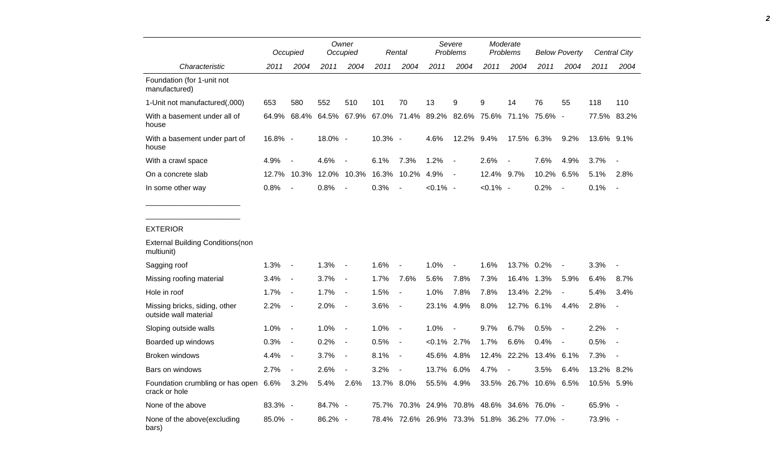|                                                        |         | Occupied                 |         | Owner<br>Occupied        |            | Rental                   |                | Severe<br>Problems                          |             | Moderate<br>Problems |               | <b>Below Poverty</b>     |            | <b>Central City</b>      |
|--------------------------------------------------------|---------|--------------------------|---------|--------------------------|------------|--------------------------|----------------|---------------------------------------------|-------------|----------------------|---------------|--------------------------|------------|--------------------------|
| Characteristic                                         | 2011    | 2004                     | 2011    | 2004                     | 2011       | 2004                     | 2011           | 2004                                        | 2011        | 2004                 | 2011          | 2004                     | 2011       | 2004                     |
| Foundation (for 1-unit not<br>manufactured)            |         |                          |         |                          |            |                          |                |                                             |             |                      |               |                          |            |                          |
| 1-Unit not manufactured(,000)                          | 653     | 580                      | 552     | 510                      | 101        | 70                       | 13             | 9                                           | 9           | 14                   | 76            | 55                       | 118        | 110                      |
| With a basement under all of<br>house                  | 64.9%   | 68.4%                    | 64.5%   | 67.9%                    |            |                          |                | 67.0% 71.4% 89.2% 82.6% 75.6% 71.1% 75.6%   |             |                      |               | $\overline{\phantom{a}}$ |            | 77.5% 83.2%              |
| With a basement under part of<br>house                 | 16.8% - |                          | 18.0% - |                          | 10.3% -    |                          | 4.6%           | 12.2% 9.4%                                  |             | 17.5% 6.3%           |               | 9.2%                     | 13.6% 9.1% |                          |
| With a crawl space                                     | 4.9%    |                          | 4.6%    | $\blacksquare$           | 6.1%       | 7.3%                     | 1.2%           | $\overline{\phantom{a}}$                    | 2.6%        |                      | 7.6%          | 4.9%                     | 3.7%       |                          |
| On a concrete slab                                     | 12.7%   | 10.3%                    | 12.0%   | 10.3%                    | 16.3%      | 10.2%                    | 4.9%           | $\overline{\phantom{a}}$                    | 12.4% 9.7%  |                      | 10.2%         | 6.5%                     | 5.1%       | 2.8%                     |
| In some other way                                      | 0.8%    | $\overline{a}$           | 0.8%    | $\overline{a}$           | 0.3%       | $\overline{\phantom{a}}$ | $< 0.1\%$ -    |                                             | $< 0.1\%$ - |                      | 0.2%          |                          | 0.1%       | $\overline{a}$           |
|                                                        |         |                          |         |                          |            |                          |                |                                             |             |                      |               |                          |            |                          |
| <b>EXTERIOR</b>                                        |         |                          |         |                          |            |                          |                |                                             |             |                      |               |                          |            |                          |
| <b>External Building Conditions (non</b><br>multiunit) |         |                          |         |                          |            |                          |                |                                             |             |                      |               |                          |            |                          |
| Sagging roof                                           | 1.3%    | $\overline{\phantom{a}}$ | 1.3%    | $\blacksquare$           | 1.6%       | $\overline{a}$           | 1.0%           | $\overline{a}$                              | 1.6%        | 13.7%                | 0.2%          | $\overline{\phantom{a}}$ | 3.3%       | $\blacksquare$           |
| Missing roofing material                               | 3.4%    | $\blacksquare$           | 3.7%    | $\blacksquare$           | 1.7%       | 7.6%                     | 5.6%           | 7.8%                                        | 7.3%        | 16.4%                | 1.3%          | 5.9%                     | 6.4%       | 8.7%                     |
| Hole in roof                                           | 1.7%    | $\blacksquare$           | 1.7%    | $\overline{\phantom{a}}$ | 1.5%       | $\blacksquare$           | 1.0%           | 7.8%                                        | 7.8%        | 13.4% 2.2%           |               | $\overline{\phantom{a}}$ | 5.4%       | 3.4%                     |
| Missing bricks, siding, other<br>outside wall material | 2.2%    | $\overline{\phantom{a}}$ | 2.0%    | $\overline{\phantom{a}}$ | 3.6%       | $\blacksquare$           | 23.1%          | 4.9%                                        | 8.0%        | 12.7%                | 6.1%          | 4.4%                     | 2.8%       | $\overline{\phantom{a}}$ |
| Sloping outside walls                                  | 1.0%    | $\overline{\phantom{a}}$ | 1.0%    | $\overline{\phantom{a}}$ | 1.0%       | $\overline{\phantom{a}}$ | 1.0%           | $\blacksquare$                              | 9.7%        | 6.7%                 | 0.5%          | $\overline{\phantom{a}}$ | 2.2%       | $\overline{\phantom{a}}$ |
| Boarded up windows                                     | 0.3%    | $\blacksquare$           | 0.2%    | $\overline{\phantom{a}}$ | 0.5%       | $\overline{\phantom{a}}$ | $< 0.1\%$ 2.7% |                                             | 1.7%        | 6.6%                 | 0.4%          |                          | 0.5%       | $\overline{\phantom{a}}$ |
| Broken windows                                         | 4.4%    | $\blacksquare$           | 3.7%    | $\overline{\phantom{a}}$ | 8.1%       | $\overline{\phantom{a}}$ | 45.6% 4.8%     |                                             | 12.4%       | 22.2%                | 13.4%         | 6.1%                     | 7.3%       |                          |
| Bars on windows                                        | 2.7%    | $\blacksquare$           | 2.6%    | $\overline{\phantom{a}}$ | 3.2%       | $\blacksquare$           | 13.7%          | $6.0\%$                                     | 4.7%        |                      | 3.5%          | 6.4%                     | 13.2% 8.2% |                          |
| Foundation crumbling or has open 6.6%<br>crack or hole |         | 3.2%                     | 5.4%    | 2.6%                     | 13.7% 8.0% |                          | 55.5% 4.9%     |                                             |             | 33.5% 26.7%          | 10.6% 6.5%    |                          | 10.5% 5.9% |                          |
| None of the above                                      | 83.3% - |                          | 84.7% - |                          | 75.7%      |                          |                | 70.3% 24.9% 70.8% 48.6%                     |             |                      | 34.6% 76.0% - |                          | 65.9% -    |                          |
| None of the above(excluding<br>bars)                   | 85.0% - |                          | 86.2% - |                          |            |                          |                | 78.4% 72.6% 26.9% 73.3% 51.8% 36.2% 77.0% - |             |                      |               |                          | 73.9% -    |                          |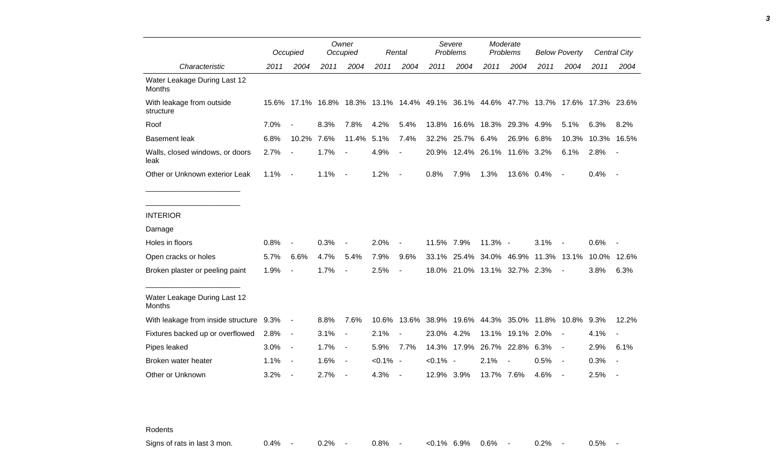|                                               |      | Occupied                 |      | Owner<br>Occupied        |             | Rental                   |             | Severe<br>Problems                                                                  |                   | Moderate<br>Problems |                  | <b>Below Poverty</b>     |             | <b>Central City</b>      |
|-----------------------------------------------|------|--------------------------|------|--------------------------|-------------|--------------------------|-------------|-------------------------------------------------------------------------------------|-------------------|----------------------|------------------|--------------------------|-------------|--------------------------|
| Characteristic                                | 2011 | 2004                     | 2011 | 2004                     | 2011        | 2004                     | 2011        | 2004                                                                                | 2011              | 2004                 | 2011             | 2004                     | 2011        | 2004                     |
| Water Leakage During Last 12<br><b>Months</b> |      |                          |      |                          |             |                          |             |                                                                                     |                   |                      |                  |                          |             |                          |
| With leakage from outside<br>structure        |      |                          |      |                          |             |                          |             | 15.6% 17.1% 16.8% 18.3% 13.1% 14.4% 49.1% 36.1% 44.6% 47.7% 13.7% 17.6% 17.3% 23.6% |                   |                      |                  |                          |             |                          |
| Roof                                          | 7.0% |                          | 8.3% | 7.8%                     | 4.2%        | 5.4%                     | 13.8%       | 16.6%                                                                               | 18.3%             | 29.3%                | 4.9%             | 5.1%                     | 6.3%        | 8.2%                     |
| <b>Basement leak</b>                          | 6.8% | 10.2%                    | 7.6% | 11.4%                    | 5.1%        | 7.4%                     | 32.2%       | 25.7%                                                                               | 6.4%              | 26.9%                | 6.8%             |                          | 10.3% 10.3% | 16.5%                    |
| Walls, closed windows, or doors<br>leak       | 2.7% | $\blacksquare$           | 1.7% | $\blacksquare$           | 4.9%        | $\blacksquare$           |             | 20.9% 12.4% 26.1% 11.6% 3.2%                                                        |                   |                      |                  | 6.1%                     | 2.8%        |                          |
| Other or Unknown exterior Leak                | 1.1% | $\blacksquare$           | 1.1% | $\overline{\phantom{a}}$ | 1.2%        | $\overline{\phantom{a}}$ | 0.8%        | 7.9%                                                                                | 1.3%              | 13.6% 0.4%           |                  | $\overline{\phantom{a}}$ | 0.4%        | $\overline{\phantom{a}}$ |
|                                               |      |                          |      |                          |             |                          |             |                                                                                     |                   |                      |                  |                          |             |                          |
| <b>INTERIOR</b>                               |      |                          |      |                          |             |                          |             |                                                                                     |                   |                      |                  |                          |             |                          |
| Damage                                        |      |                          |      |                          |             |                          |             |                                                                                     |                   |                      |                  |                          |             |                          |
| Holes in floors                               | 0.8% |                          | 0.3% |                          | 2.0%        |                          | 11.5% 7.9%  |                                                                                     | 11.3% -           |                      | 3.1%             |                          | 0.6%        |                          |
| Open cracks or holes                          | 5.7% | 6.6%                     | 4.7% | 5.4%                     | 7.9%        | 9.6%                     | 33.1%       |                                                                                     | 25.4% 34.0% 46.9% |                      | 11.3%            | 13.1%                    | 10.0%       | 12.6%                    |
| Broken plaster or peeling paint               | 1.9% |                          | 1.7% |                          | 2.5%        |                          |             | 18.0% 21.0% 13.1% 32.7% 2.3%                                                        |                   |                      |                  |                          | 3.8%        | 6.3%                     |
| Water Leakage During Last 12<br><b>Months</b> |      |                          |      |                          |             |                          |             |                                                                                     |                   |                      |                  |                          |             |                          |
| With leakage from inside structure 9.3%       |      | $\blacksquare$           | 8.8% | 7.6%                     | 10.6%       | 13.6%                    |             | 38.9% 19.6%                                                                         |                   | 44.3% 35.0%          | 11.8% 10.8% 9.3% |                          |             | 12.2%                    |
| Fixtures backed up or overflowed              | 2.8% | $\blacksquare$           | 3.1% | $\overline{\phantom{a}}$ | 2.1%        | $\blacksquare$           | 23.0% 4.2%  |                                                                                     | 13.1%             | 19.1%                | 2.0%             |                          | 4.1%        |                          |
| Pipes leaked                                  | 3.0% | $\overline{\phantom{a}}$ | 1.7% | $\overline{\phantom{a}}$ | 5.9%        | 7.7%                     |             | 14.3% 17.9%                                                                         |                   | 26.7% 22.8%          | 6.3%             | $\blacksquare$           | 2.9%        | 6.1%                     |
| Broken water heater                           | 1.1% | $\overline{\phantom{a}}$ | 1.6% | $\overline{\phantom{a}}$ | $< 0.1\%$ - |                          | $< 0.1\%$ - |                                                                                     | 2.1%              |                      | 0.5%             | $\blacksquare$           | 0.3%        | $\blacksquare$           |
| Other or Unknown                              | 3.2% | $\overline{a}$           | 2.7% |                          | 4.3%        | $\overline{\phantom{a}}$ | 12.9% 3.9%  |                                                                                     | 13.7% 7.6%        |                      | 4.6%             |                          | 2.5%        |                          |

Rodents

Signs of rats in last 3 mon.  $0.4\%$  - 0.2% - 0.8% - <0.1% 6.9% 0.6% - 0.2% - 0.5% -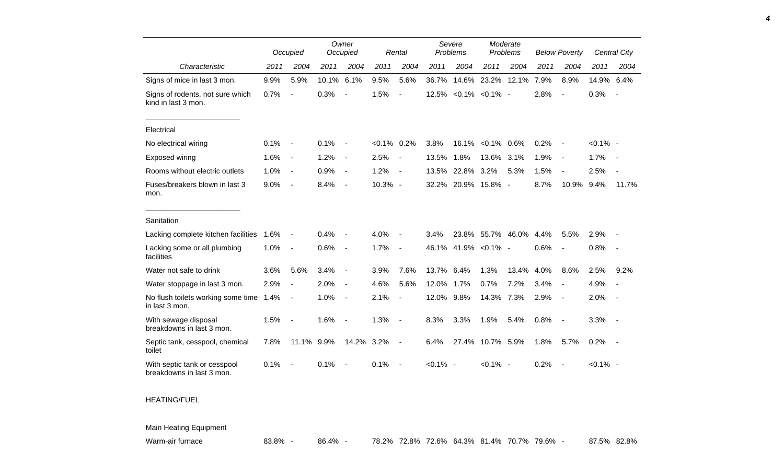|                                                           |      | Occupied                 |       | Owner<br>Occupied        |           | Rental                   | Severe<br>Problems |                       | Moderate<br>Problems |       | <b>Below Poverty</b> |                          |             | Central City             |
|-----------------------------------------------------------|------|--------------------------|-------|--------------------------|-----------|--------------------------|--------------------|-----------------------|----------------------|-------|----------------------|--------------------------|-------------|--------------------------|
| Characteristic                                            | 2011 | 2004                     | 2011  | 2004                     | 2011      | 2004                     | 2011               | 2004                  | 2011                 | 2004  | 2011                 | 2004                     | 2011        | 2004                     |
| Signs of mice in last 3 mon.                              | 9.9% | 5.9%                     | 10.1% | 6.1%                     | 9.5%      | 5.6%                     | 36.7%              | 14.6%                 | 23.2%                | 12.1% | 7.9%                 | 8.9%                     | 14.9%       | 6.4%                     |
| Signs of rodents, not sure which<br>kind in last 3 mon.   | 0.7% | $\overline{\phantom{a}}$ | 0.3%  |                          | 1.5%      | $\overline{a}$           |                    | 12.5% < 0.1% < 0.1% - |                      |       | 2.8%                 | $\overline{\phantom{a}}$ | 0.3%        | $\overline{\phantom{a}}$ |
| Electrical                                                |      |                          |       |                          |           |                          |                    |                       |                      |       |                      |                          |             |                          |
| No electrical wiring                                      | 0.1% | $\overline{\phantom{a}}$ | 0.1%  |                          | $< 0.1\%$ | 0.2%                     | 3.8%               | 16.1%                 | $< 0.1\%$            | 0.6%  | 0.2%                 | $\overline{\phantom{a}}$ | $< 0.1\%$ - |                          |
| Exposed wiring                                            | 1.6% | $\blacksquare$           | 1.2%  | $\blacksquare$           | 2.5%      | $\overline{\phantom{a}}$ | 13.5%              | 1.8%                  | 13.6%                | 3.1%  | 1.9%                 | $\overline{\phantom{a}}$ | 1.7%        |                          |
| Rooms without electric outlets                            | 1.0% | $\overline{\phantom{a}}$ | 0.9%  | $\overline{\phantom{a}}$ | 1.2%      | $\overline{\phantom{a}}$ | 13.5%              | 22.8%                 | 3.2%                 | 5.3%  | 1.5%                 |                          | 2.5%        |                          |
| Fuses/breakers blown in last 3<br>mon.                    | 9.0% | $\overline{\phantom{a}}$ | 8.4%  | $\blacksquare$           | 10.3% -   |                          | 32.2%              | 20.9%                 | 15.8% -              |       | 8.7%                 | 10.9%                    | 9.4%        | 11.7%                    |
| Sanitation                                                |      |                          |       |                          |           |                          |                    |                       |                      |       |                      |                          |             |                          |
| Lacking complete kitchen facilities                       | 1.6% | $\overline{\phantom{0}}$ | 0.4%  |                          | 4.0%      |                          | 3.4%               | 23.8%                 | 55.7% 46.0%          |       | 4.4%                 | 5.5%                     | 2.9%        |                          |
| Lacking some or all plumbing<br>facilities                | 1.0% | $\blacksquare$           | 0.6%  | $\overline{\phantom{a}}$ | 1.7%      | $\overline{\phantom{a}}$ | 46.1%              |                       | 41.9% < 0.1% -       |       | 0.6%                 | $\blacksquare$           | 0.8%        | $\overline{\phantom{a}}$ |
| Water not safe to drink                                   | 3.6% | 5.6%                     | 3.4%  | $\overline{\phantom{a}}$ | 3.9%      | 7.6%                     | 13.7%              | 6.4%                  | 1.3%                 | 13.4% | 4.0%                 | 8.6%                     | 2.5%        | 9.2%                     |
| Water stoppage in last 3 mon.                             | 2.9% | $\overline{\phantom{a}}$ | 2.0%  | $\overline{\phantom{a}}$ | 4.6%      | 5.6%                     | 12.0%              | 1.7%                  | 0.7%                 | 7.2%  | 3.4%                 | $\sim$                   | 4.9%        |                          |
| No flush toilets working some time<br>in last 3 mon.      | 1.4% | $\overline{\phantom{a}}$ | 1.0%  | $\blacksquare$           | 2.1%      | $\overline{a}$           | 12.0%              | 9.8%                  | 14.3%                | 7.3%  | 2.9%                 | $\overline{\phantom{a}}$ | 2.0%        |                          |
| With sewage disposal<br>breakdowns in last 3 mon.         | 1.5% | $\blacksquare$           | 1.6%  |                          | 1.3%      | $\overline{\phantom{a}}$ | 8.3%               | 3.3%                  | 1.9%                 | 5.4%  | 0.8%                 | $\overline{\phantom{a}}$ | 3.3%        | $\sim$                   |
| Septic tank, cesspool, chemical<br>toilet                 | 7.8% | 11.1%                    | 9.9%  | 14.2%                    | 3.2%      | $\overline{\phantom{a}}$ | 6.4%               | 27.4%                 | 10.7% 5.9%           |       | 1.8%                 | 5.7%                     | 0.2%        | $\sim$ $-$               |
| With septic tank or cesspool<br>breakdowns in last 3 mon. | 0.1% |                          | 0.1%  |                          | 0.1%      |                          | $< 0.1\%$ -        |                       | $< 0.1\%$ -          |       | 0.2%                 |                          | $< 0.1\%$ - |                          |

## HEATING/FUEL

Main Heating Equipment

Warm-air furnace **83.8% - 86.4% - 78.2% 72.8% 72.6% 64.3% 81.4% 70.7% 79.6% - 87.5% 82.8%** 

*4*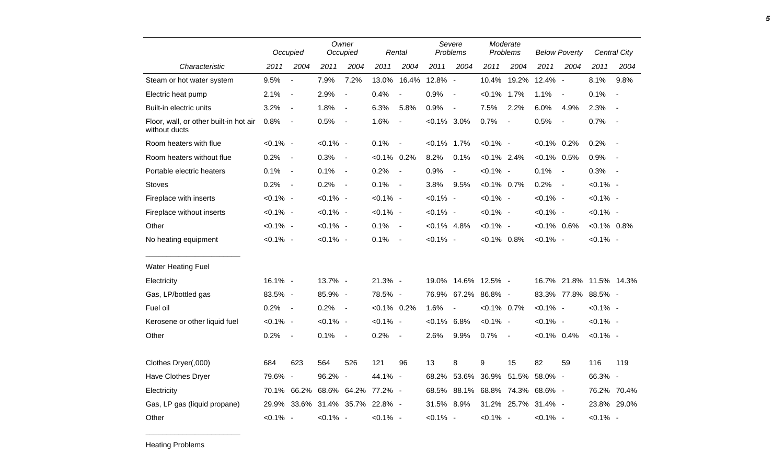|                                                         |             | Occupied                 |             | Owner<br>Occupied               |                | Rental                   |                | Severe<br>Problems  |                   | Moderate<br>Problems     |                | <b>Below Poverty</b>     |                | Central City             |
|---------------------------------------------------------|-------------|--------------------------|-------------|---------------------------------|----------------|--------------------------|----------------|---------------------|-------------------|--------------------------|----------------|--------------------------|----------------|--------------------------|
| Characteristic                                          | 2011        | 2004                     | 2011        | 2004                            | 2011           | 2004                     | 2011           | 2004                | 2011              | 2004                     | 2011           | 2004                     | 2011           | 2004                     |
| Steam or hot water system                               | 9.5%        | $\blacksquare$           | 7.9%        | 7.2%                            | 13.0%          | 16.4%                    | 12.8% -        |                     | 10.4%             | 19.2%                    | 12.4% -        |                          | 8.1%           | 9.8%                     |
| Electric heat pump                                      | 2.1%        | $\blacksquare$           | 2.9%        | $\blacksquare$                  | 0.4%           | $\overline{\phantom{a}}$ | 0.9%           | $\sim$              | $< 0.1\%$ 1.7%    |                          | 1.1%           | $\overline{\phantom{a}}$ | 0.1%           | $\overline{\phantom{a}}$ |
| Built-in electric units                                 | 3.2%        | $\blacksquare$           | 1.8%        | $\overline{\phantom{a}}$        | 6.3%           | 5.8%                     | 0.9%           | $\sim$              | 7.5%              | 2.2%                     | 6.0%           | 4.9%                     | 2.3%           | $\overline{\phantom{a}}$ |
| Floor, wall, or other built-in hot air<br>without ducts | 0.8%        | $\blacksquare$           | 0.5%        | $\overline{\phantom{a}}$        | 1.6%           | $\blacksquare$           | $<0.1\%$ 3.0%  |                     | 0.7%              | $\overline{\phantom{a}}$ | 0.5%           | $\blacksquare$           | 0.7%           | $\blacksquare$           |
| Room heaters with flue                                  | $< 0.1\%$ - |                          | $< 0.1\%$ - |                                 | 0.1%           | $\blacksquare$           | $< 0.1\%$ 1.7% |                     | $< 0.1\%$ -       |                          | $< 0.1\%$ 0.2% |                          | 0.2%           | $\overline{\phantom{a}}$ |
| Room heaters without flue                               | 0.2%        | $\overline{\phantom{a}}$ | 0.3%        | $\sim$                          | $< 0.1\%$ 0.2% |                          | 8.2%           | 0.1%                | $< 0.1\%$ 2.4%    |                          | $< 0.1\%$ 0.5% |                          | 0.9%           | $\overline{\phantom{a}}$ |
| Portable electric heaters                               | 0.1%        | $\blacksquare$           | 0.1%        | $\sim$                          | 0.2%           | $\blacksquare$           | 0.9%           | $\blacksquare$      | $< 0.1\%$ -       |                          | 0.1%           | $\sim$                   | 0.3%           | $\overline{\phantom{a}}$ |
| <b>Stoves</b>                                           | 0.2%        | $\blacksquare$           | 0.2%        | $\sim$                          | 0.1%           | $\sim$                   | 3.8%           | 9.5%                | $< 0.1\%$ 0.7%    |                          | 0.2%           | $\sim$                   | $< 0.1\%$ -    |                          |
| Fireplace with inserts                                  | $< 0.1\%$ - |                          | $< 0.1\%$ - |                                 | $< 0.1\%$ -    |                          | $< 0.1\%$ -    |                     | $< 0.1\%$ -       |                          | $< 0.1\%$ -    |                          | $< 0.1\%$ -    |                          |
| Fireplace without inserts                               | $< 0.1\%$ - |                          | $< 0.1\%$ - |                                 | $< 0.1\%$ -    |                          | $< 0.1\%$ -    |                     | $< 0.1\%$ -       |                          | $< 0.1\%$ -    |                          | $< 0.1\%$ -    |                          |
| Other                                                   | $< 0.1\%$ - |                          | $< 0.1\%$ - |                                 | 0.1%           | $\sim$                   | $< 0.1\%$ 4.8% |                     | $< 0.1\%$ -       |                          | $< 0.1\%$ 0.6% |                          | $< 0.1\%$ 0.8% |                          |
| No heating equipment                                    | $< 0.1\%$ - |                          | $< 0.1\%$ - |                                 | 0.1%           | $\sim$                   | $< 0.1\%$ -    |                     | $< 0.1\%$ 0.8%    |                          | $< 0.1\%$ -    |                          | $< 0.1\%$ -    |                          |
| <b>Water Heating Fuel</b>                               |             |                          |             |                                 |                |                          |                |                     |                   |                          |                |                          |                |                          |
| Electricity                                             | 16.1% -     |                          | 13.7% -     |                                 | 21.3% -        |                          |                | 19.0% 14.6% 12.5% - |                   |                          |                | 16.7% 21.8% 11.5% 14.3%  |                |                          |
| Gas, LP/bottled gas                                     | 83.5% -     |                          | 85.9% -     |                                 | 78.5% -        |                          |                | 76.9% 67.2%         | 86.8% -           |                          |                | 83.3% 77.8% 88.5% -      |                |                          |
| Fuel oil                                                | 0.2%        | $\sim$                   | 0.2%        | $\sim$                          | $< 0.1\%$ 0.2% |                          | 1.6%           | $\blacksquare$      | $< 0.1\%$ 0.7%    |                          | $< 0.1\%$ -    |                          | $< 0.1\%$ -    |                          |
| Kerosene or other liquid fuel                           | $< 0.1\%$ - |                          | $< 0.1\%$ - |                                 | $< 0.1\%$ -    |                          | $< 0.1\%$ 6.8% |                     | $< 0.1\%$ -       |                          | $< 0.1\%$ -    |                          | $< 0.1\%$ -    |                          |
| Other                                                   | 0.2%        | $\blacksquare$           | 0.1%        | $\overline{\phantom{a}}$        | 0.2%           | $\sim$                   | 2.6%           | 9.9%                | 0.7%              | $\sim$                   | $< 0.1\%$ 0.4% |                          | $< 0.1\%$ -    |                          |
| Clothes Dryer(,000)                                     | 684         | 623                      | 564         | 526                             | 121            | 96                       | 13             | 8                   | 9                 | 15                       | 82             | 59                       | 116            | 119                      |
| Have Clothes Dryer                                      | 79.6% -     |                          | 96.2% -     |                                 | 44.1% -        |                          | 68.2%          |                     | 53.6% 36.9% 51.5% |                          | 58.0% -        |                          | 66.3% -        |                          |
| Electricity                                             |             | 70.1% 66.2%              |             | 68.6% 64.2% 77.2% -             |                |                          |                | 68.5% 88.1%         |                   | 68.8% 74.3% 68.6% -      |                |                          |                | 76.2% 70.4%              |
| Gas, LP gas (liquid propane)                            |             |                          |             | 29.9% 33.6% 31.4% 35.7% 22.8% - |                |                          | 31.5% 8.9%     |                     |                   | 31.2% 25.7% 31.4% -      |                |                          |                | 23.8% 29.0%              |
| Other                                                   | $< 0.1\%$ - |                          | $< 0.1\%$ - |                                 | $< 0.1\%$ -    |                          | $< 0.1\%$ -    |                     | $< 0.1\%$ -       |                          | $< 0.1\%$ -    |                          | $< 0.1\%$ -    |                          |

\_\_\_\_\_\_\_\_\_\_\_\_\_\_\_\_\_\_\_\_\_\_\_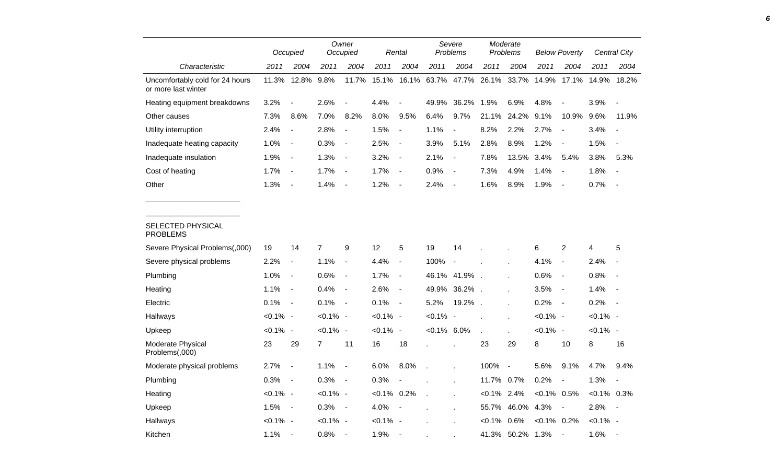|                                                        |             | Occupied                 |                | Owner<br>Occupied        |                | Rental                   |                         | Severe<br>Problems       |                | Moderate<br>Problems |                | <b>Below Poverty</b>     |               | <b>Central City</b>      |
|--------------------------------------------------------|-------------|--------------------------|----------------|--------------------------|----------------|--------------------------|-------------------------|--------------------------|----------------|----------------------|----------------|--------------------------|---------------|--------------------------|
| Characteristic                                         | 2011        | 2004                     | 2011           | 2004                     | 2011           | 2004                     | 2011                    | 2004                     | 2011           | 2004                 | 2011           | 2004                     | 2011          | 2004                     |
| Uncomfortably cold for 24 hours<br>or more last winter | 11.3%       | 12.8%                    | 9.8%           | 11.7%                    | 15.1%          |                          | 16.1% 63.7% 47.7% 26.1% |                          |                | 33.7%                | 14.9%          | 17.1%                    | 14.9%         | 18.2%                    |
| Heating equipment breakdowns                           | 3.2%        | $\overline{a}$           | 2.6%           | $\blacksquare$           | 4.4%           |                          | 49.9%                   | 36.2%                    | 1.9%           | 6.9%                 | 4.8%           |                          | 3.9%          | $\overline{\phantom{a}}$ |
| Other causes                                           | 7.3%        | 8.6%                     | 7.0%           | 8.2%                     | 8.0%           | 9.5%                     | 6.4%                    | 9.7%                     | 21.1%          | 24.2%                | 9.1%           | 10.9%                    | 9.6%          | 11.9%                    |
| Utility interruption                                   | 2.4%        | $\overline{\phantom{a}}$ | 2.8%           | $\blacksquare$           | 1.5%           | $\overline{a}$           | 1.1%                    | $\overline{\phantom{a}}$ | 8.2%           | 2.2%                 | 2.7%           | $\blacksquare$           | 3.4%          | $\overline{\phantom{a}}$ |
| Inadequate heating capacity                            | 1.0%        | $\overline{\phantom{a}}$ | 0.3%           | $\blacksquare$           | 2.5%           | $\blacksquare$           | 3.9%                    | 5.1%                     | 2.8%           | 8.9%                 | 1.2%           | $\blacksquare$           | 1.5%          | $\blacksquare$           |
| Inadequate insulation                                  | 1.9%        | $\overline{\phantom{a}}$ | 1.3%           | $\blacksquare$           | 3.2%           | $\blacksquare$           | 2.1%                    | $\overline{\phantom{a}}$ | 7.8%           | 13.5%                | 3.4%           | 5.4%                     | 3.8%          | 5.3%                     |
| Cost of heating                                        | 1.7%        | $\overline{\phantom{a}}$ | 1.7%           | $\blacksquare$           | 1.7%           | $\overline{\phantom{a}}$ | 0.9%                    | $\overline{\phantom{a}}$ | 7.3%           | 4.9%                 | 1.4%           | $\overline{\phantom{a}}$ | 1.8%          | $\blacksquare$           |
| Other                                                  | 1.3%        | $\overline{\phantom{a}}$ | 1.4%           | $\overline{\phantom{a}}$ | 1.2%           | $\blacksquare$           | 2.4%                    | $\overline{\phantom{a}}$ | 1.6%           | 8.9%                 | 1.9%           | $\overline{\phantom{a}}$ | 0.7%          | $\overline{\phantom{a}}$ |
| SELECTED PHYSICAL<br><b>PROBLEMS</b>                   |             |                          |                |                          |                |                          |                         |                          |                |                      |                |                          |               |                          |
| Severe Physical Problems(,000)                         | 19          | 14                       | $\overline{7}$ | 9                        | 12             | 5                        | 19                      | 14                       |                |                      | 6              | $\overline{2}$           | 4             | 5                        |
| Severe physical problems                               | 2.2%        | $\blacksquare$           | 1.1%           | $\overline{\phantom{a}}$ | 4.4%           | $\blacksquare$           | 100%                    | $\overline{\phantom{a}}$ |                | ÷                    | 4.1%           | $\overline{\phantom{a}}$ | 2.4%          |                          |
| Plumbing                                               | 1.0%        | $\blacksquare$           | 0.6%           | $\blacksquare$           | 1.7%           | $\blacksquare$           |                         | 46.1% 41.9%.             |                | $\mathbf{r}$         | 0.6%           | $\sim$                   | 0.8%          | $\blacksquare$           |
| Heating                                                | 1.1%        | $\blacksquare$           | 0.4%           | $\blacksquare$           | 2.6%           | $\blacksquare$           | 49.9%                   | 36.2%                    |                | $\mathbf{r}$         | 3.5%           | $\overline{\phantom{a}}$ | 1.4%          | $\overline{\phantom{a}}$ |
| Electric                                               | 0.1%        | $\overline{\phantom{a}}$ | 0.1%           | $\blacksquare$           | 0.1%           | $\sim$                   | 5.2%                    | 19.2%                    | $\mathbf{r}$   | $\overline{a}$       | 0.2%           | $\sim$                   | 0.2%          | $\overline{\phantom{a}}$ |
| Hallways                                               | $< 0.1\%$ - |                          | $< 0.1\%$ -    |                          | $< 0.1\%$ -    |                          | $< 0.1\%$ -             |                          |                | ä,                   | $< 0.1\%$ -    |                          | $< 0.1\%$ -   |                          |
| Upkeep                                                 | $< 0.1\%$ - |                          | $< 0.1\%$ -    |                          | $< 0.1\%$ -    |                          | $< 0.1\%$ 6.0%          |                          | $\overline{a}$ |                      | $< 0.1\%$ -    |                          | $< 0.1\%$ -   |                          |
| Moderate Physical<br>Problems(,000)                    | 23          | 29                       | $\overline{7}$ | 11                       | 16             | 18                       |                         |                          | 23             | 29                   | 8              | 10                       | 8             | 16                       |
| Moderate physical problems                             | 2.7%        | $\blacksquare$           | 1.1%           | $\overline{\phantom{a}}$ | 6.0%           | 8.0%                     |                         |                          | 100%           | $\blacksquare$       | 5.6%           | 9.1%                     | 4.7%          | 9.4%                     |
| Plumbing                                               | 0.3%        | $\overline{\phantom{a}}$ | 0.3%           | $\blacksquare$           | 0.3%           |                          |                         |                          | 11.7% 0.7%     |                      | 0.2%           | $\overline{\phantom{a}}$ | 1.3%          | $\overline{\phantom{a}}$ |
| Heating                                                | $< 0.1\%$ - |                          | $< 0.1\%$ -    |                          | $< 0.1\%$ 0.2% |                          | $\mathcal{L}$           |                          | $< 0.1\%$ 2.4% |                      | $< 0.1\%$ 0.5% |                          | $<0.1\%$ 0.3% |                          |
| Upkeep                                                 | 1.5%        | $\sim$                   | 0.3%           | $\blacksquare$           | 4.0%           | $\sim$                   |                         |                          | 55.7%          | 46.0%                | 4.3%           | $\overline{\phantom{a}}$ | 2.8%          | $\overline{\phantom{a}}$ |
| Hallways                                               | $< 0.1\%$ - |                          | $< 0.1\%$ -    |                          | $< 0.1\%$ -    |                          |                         |                          | $< 0.1\%$      | 0.6%                 | $< 0.1\%$ 0.2% |                          | $< 0.1\%$ -   |                          |
| Kitchen                                                | 1.1%        | $\overline{\phantom{a}}$ | 0.8%           | $\overline{\phantom{a}}$ | 1.9%           | $\sim$ $-$               |                         |                          |                | 41.3% 50.2% 1.3%     |                | $\sim$                   | 1.6%          | $\overline{\phantom{a}}$ |